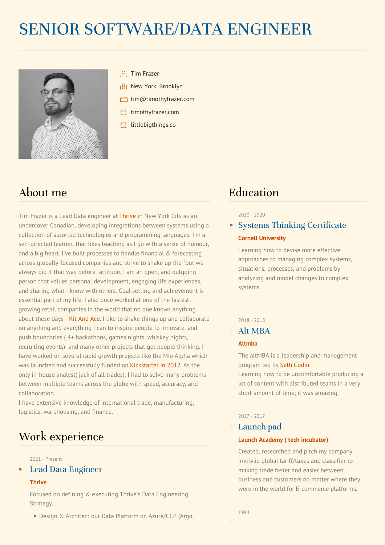# SENIOR SOFTWARE/DATA ENGINEER



- Tim Frazer
- **Rt New York, Brooklyn**
- **foll** [tim@timothyfrazer.com](mailto:tim@timothyfrazer.com)
- **E** [timothyfrazer.com](http://www.timothyfrazer.com)
- [littlebigthings.co](https://www.littlebigthings.co)

# About me

Tim Frazer is a Lead Data engineer at [Thrive](http://thriveglobal.com/) in New York City as an undercover Canadian, developing integrations between systems using a collection of assorted technologies and programming languages. I'm a self-directed learner, that likes teaching as Igo with a sense of humour, and a big heart. I've built processes to handle financial & forecasting across globally-focused companies and strive to shake up the "but we always did it that way before" attitude. I am an open, and outgoing person that values personal development, engaging life experiences, and sharing what I know with others. Goal setting and achievement is essential part of my life. I also once worked at one of the fastest growing retail companies in the world that no one knows anything about these days - Kit And [Ace.](https://www.cbc.ca/news/canada/british-columbia/kit-and-ace-closures-1.4087893) I like to shake things up and collaborate on anything and everything I can to inspire people to innovate, and push boundaries (4+ hackathons, games nights, whiskey nights, recruiting events) and many other projects that get people thinking. I have worked on several rapid growth projects like the Mio Alpha which was launched and successfully funded on [Kickstarter](https://www.kickstarter.com/projects/alphaheartrate/alpha-the-holy-grail-of-heart-rate-look-ma-no-hand) in 2012. As the only in-house analyst( jack of all trades), I had to solve many problems between multiple teams across the globe with speed, accuracy, and collaboration.

I have extensive knowledge of international trade, manufacturing, logistics, warehousing, and finance.

# Work experience

#### 2021 - Present

Lead Data Engineer

#### **Thrive**

Focused on defining & executing Thrive's Data Engineering Strategy.

Design & Architect our Data Platform on Azure/GCP (Argo,

# Education

#### 2020 - 2020

# Systems Thinking Certificate **Cornell [University](https://www.ecornell.com/certificates/project-leadership-and-systems-design/systems-thinking/)**

Learning how to devise more effective approaches to managing complex systems, situations, processes, and problems by analyzing and model changes to complex systems.

### 2018 - 2018

# Alt MBA

### **[Altmba](https://altmba.com/)**

The altMBA is a leadership and management program led by Seth [Godin.](https://www.sethgodin.com/)

Learning how to be uncomfortable producing a lot of content with distributed teams in a very short amount of time; it was amazing.

# 2017 - 2017

# Launch pad

#### **Launch Academy (tech [incubator\)](https://www.launchacademy.ca/)**

Created, researched and pitch my company invtry.io global tariff/taxes and classifier to making trade faster and easier between business and customers no matter where they were in the world for E-commerce platforms.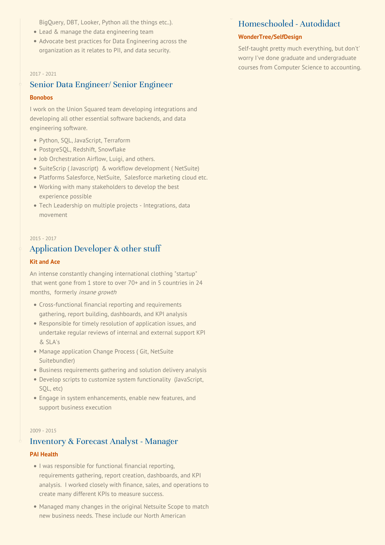BigQuery, DBT, Looker, Python all the things etc..).

- Lead & manage the data engineering team
- Advocate best practices for Data Engineering across the organization as it relates to PII, and data security.

#### 2017 - 2021

# Senior Data Engineer/ Senior Engineer

#### **[Bonobos](http://www.bonobos.com)**

I work on the Union Squared team developing integrations and developing all other essential software backends, and data engineering software.

- Python, SQL, JavaScript, Terraform
- PostgreSQL, Redshift, Snowflake
- Job Orchestration Airflow, Luigi, and others.
- SuiteScrip ( Javascript) & workflow development ( NetSuite)
- Platforms Salesforce, NetSuite, Salesforce marketing cloud etc.
- Working with many stakeholders to develop the best experience possible
- Tech Leadership on multiple projects Integrations, data movement

#### 2015 - 2017

# Application Developer & other stuff

### **Kit [and](http://www.kitandace.com) Ace**

An intense constantly changing international clothing "startup" that went gone from 1 store to over 70+ and in 5 countries in 24 months, formerly insane growth

- Cross-functional financial reporting and requirements gathering, report building, dashboards, and KPI analysis
- Responsible for timely resolution of application issues, and undertake regular reviews of internal and external support KPI & SLA's
- Manage application Change Process (Git, NetSuite Suitebundler)
- Business requirements gathering and solution delivery analysis
- Develop scripts to customize system functionality (JavaScript, SQL, etc)
- Engage in system enhancements, enable new features, and support business execution

#### 2009 - 2015

# Inventory & Forecast Analyst - Manager

#### **PAI [Health](http://www.paihealth.com/)**

- I was responsible for functional financial reporting, requirements gathering, report creation, dashboards, and KPI analysis. I worked closely with finance, sales, and operations to create many different KPIs to measure success.
- Managed many changes in the original Netsuite Scope to match new business needs. These include our North American

# Homeschooled - Autodidact

#### **[WonderTree/SelfDesign](https://www.selfdesign.org/)**

Self-taught pretty much everything, but don't' worry I've done graduate and undergraduate courses from Computer Science to accounting.